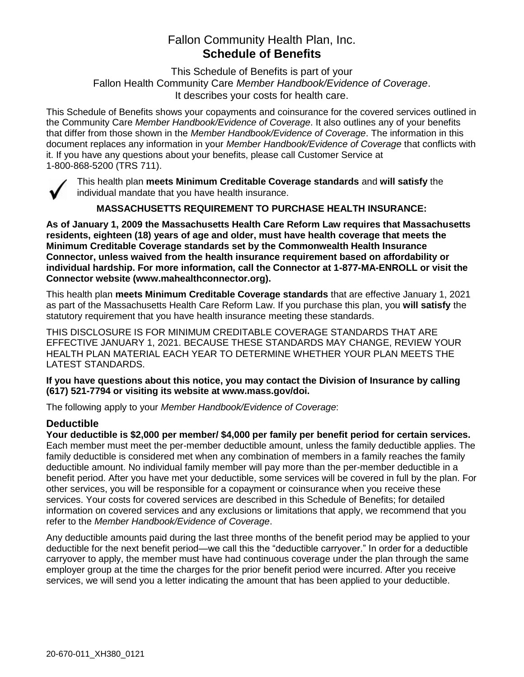# Fallon Community Health Plan, Inc. **Schedule of Benefits**

This Schedule of Benefits is part of your Fallon Health Community Care *Member Handbook/Evidence of Coverage*. It describes your costs for health care.

This Schedule of Benefits shows your copayments and coinsurance for the covered services outlined in the Community Care *Member Handbook/Evidence of Coverage*. It also outlines any of your benefits that differ from those shown in the *Member Handbook/Evidence of Coverage*. The information in this document replaces any information in your *Member Handbook/Evidence of Coverage* that conflicts with it. If you have any questions about your benefits, please call Customer Service at 1-800-868-5200 (TRS 711).



This health plan **meets Minimum Creditable Coverage standards** and **will satisfy** the individual mandate that you have health insurance.

**MASSACHUSETTS REQUIREMENT TO PURCHASE HEALTH INSURANCE:**

**As of January 1, 2009 the Massachusetts Health Care Reform Law requires that Massachusetts residents, eighteen (18) years of age and older, must have health coverage that meets the Minimum Creditable Coverage standards set by the Commonwealth Health Insurance Connector, unless waived from the health insurance requirement based on affordability or individual hardship. For more information, call the Connector at 1-877-MA-ENROLL or visit the Connector website (www.mahealthconnector.org).**

This health plan **meets Minimum Creditable Coverage standards** that are effective January 1, 2021 as part of the Massachusetts Health Care Reform Law. If you purchase this plan, you **will satisfy** the statutory requirement that you have health insurance meeting these standards.

THIS DISCLOSURE IS FOR MINIMUM CREDITABLE COVERAGE STANDARDS THAT ARE EFFECTIVE JANUARY 1, 2021. BECAUSE THESE STANDARDS MAY CHANGE, REVIEW YOUR HEALTH PLAN MATERIAL EACH YEAR TO DETERMINE WHETHER YOUR PLAN MEETS THE LATEST STANDARDS.

**If you have questions about this notice, you may contact the Division of Insurance by calling (617) 521-7794 or visiting its website at www.mass.gov/doi.** 

The following apply to your *Member Handbook/Evidence of Coverage*:

#### **Deductible**

**Your deductible is \$2,000 per member/ \$4,000 per family per benefit period for certain services.** Each member must meet the per-member deductible amount, unless the family deductible applies. The family deductible is considered met when any combination of members in a family reaches the family deductible amount. No individual family member will pay more than the per-member deductible in a benefit period. After you have met your deductible, some services will be covered in full by the plan. For other services, you will be responsible for a copayment or coinsurance when you receive these services. Your costs for covered services are described in this Schedule of Benefits; for detailed information on covered services and any exclusions or limitations that apply, we recommend that you refer to the *Member Handbook/Evidence of Coverage*.

Any deductible amounts paid during the last three months of the benefit period may be applied to your deductible for the next benefit period—we call this the "deductible carryover." In order for a deductible carryover to apply, the member must have had continuous coverage under the plan through the same employer group at the time the charges for the prior benefit period were incurred. After you receive services, we will send you a letter indicating the amount that has been applied to your deductible.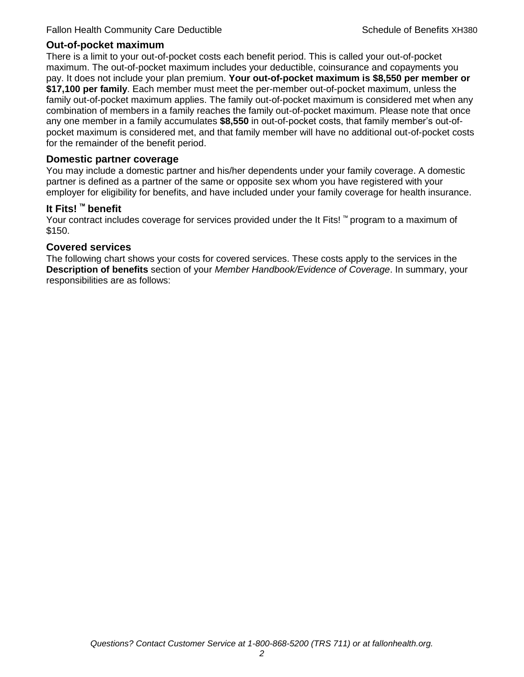#### **Out-of-pocket maximum**

There is a limit to your out-of-pocket costs each benefit period. This is called your out-of-pocket maximum. The out-of-pocket maximum includes your deductible, coinsurance and copayments you pay. It does not include your plan premium. **Your out-of-pocket maximum is \$8,550 per member or \$17,100 per family**. Each member must meet the per-member out-of-pocket maximum, unless the family out-of-pocket maximum applies. The family out-of-pocket maximum is considered met when any combination of members in a family reaches the family out-of-pocket maximum. Please note that once any one member in a family accumulates **\$8,550** in out-of-pocket costs, that family member's out-ofpocket maximum is considered met, and that family member will have no additional out-of-pocket costs for the remainder of the benefit period.

#### **Domestic partner coverage**

You may include a domestic partner and his/her dependents under your family coverage. A domestic partner is defined as a partner of the same or opposite sex whom you have registered with your employer for eligibility for benefits, and have included under your family coverage for health insurance.

#### **It Fits! ™ benefit**

Your contract includes coverage for services provided under the It Fits! ™ program to a maximum of \$150.

#### **Covered services**

The following chart shows your costs for covered services. These costs apply to the services in the **Description of benefits** section of your *Member Handbook/Evidence of Coverage*. In summary, your responsibilities are as follows: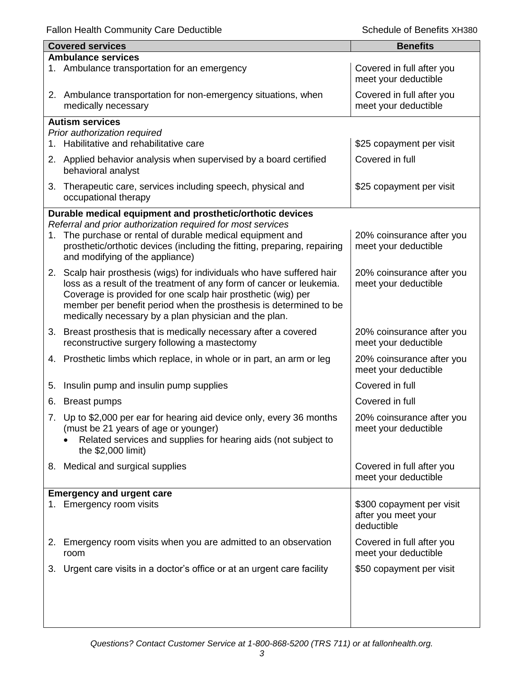|    | <b>Covered services</b>                                                                                                                                                                                                                                            | <b>Benefits</b>                                                |  |  |
|----|--------------------------------------------------------------------------------------------------------------------------------------------------------------------------------------------------------------------------------------------------------------------|----------------------------------------------------------------|--|--|
|    | <b>Ambulance services</b>                                                                                                                                                                                                                                          |                                                                |  |  |
|    | 1. Ambulance transportation for an emergency                                                                                                                                                                                                                       | Covered in full after you<br>meet your deductible              |  |  |
|    | 2. Ambulance transportation for non-emergency situations, when<br>medically necessary                                                                                                                                                                              | Covered in full after you<br>meet your deductible              |  |  |
|    | <b>Autism services</b>                                                                                                                                                                                                                                             |                                                                |  |  |
|    | Prior authorization required                                                                                                                                                                                                                                       |                                                                |  |  |
|    | 1. Habilitative and rehabilitative care                                                                                                                                                                                                                            | \$25 copayment per visit                                       |  |  |
|    | 2. Applied behavior analysis when supervised by a board certified<br>behavioral analyst                                                                                                                                                                            | Covered in full                                                |  |  |
|    | 3. Therapeutic care, services including speech, physical and<br>occupational therapy                                                                                                                                                                               | \$25 copayment per visit                                       |  |  |
|    | Durable medical equipment and prosthetic/orthotic devices                                                                                                                                                                                                          |                                                                |  |  |
|    | Referral and prior authorization required for most services                                                                                                                                                                                                        |                                                                |  |  |
|    | 1. The purchase or rental of durable medical equipment and<br>prosthetic/orthotic devices (including the fitting, preparing, repairing<br>and modifying of the appliance)                                                                                          | 20% coinsurance after you<br>meet your deductible              |  |  |
|    | 2. Scalp hair prosthesis (wigs) for individuals who have suffered hair                                                                                                                                                                                             | 20% coinsurance after you                                      |  |  |
|    | loss as a result of the treatment of any form of cancer or leukemia.<br>Coverage is provided for one scalp hair prosthetic (wig) per<br>member per benefit period when the prosthesis is determined to be<br>medically necessary by a plan physician and the plan. | meet your deductible                                           |  |  |
|    | 3. Breast prosthesis that is medically necessary after a covered                                                                                                                                                                                                   | 20% coinsurance after you                                      |  |  |
|    | reconstructive surgery following a mastectomy                                                                                                                                                                                                                      | meet your deductible                                           |  |  |
|    | 4. Prosthetic limbs which replace, in whole or in part, an arm or leg                                                                                                                                                                                              | 20% coinsurance after you<br>meet your deductible              |  |  |
| 5. | Insulin pump and insulin pump supplies                                                                                                                                                                                                                             | Covered in full                                                |  |  |
|    | 6. Breast pumps                                                                                                                                                                                                                                                    | Covered in full                                                |  |  |
|    | 7. Up to \$2,000 per ear for hearing aid device only, every 36 months                                                                                                                                                                                              | 20% coinsurance after you                                      |  |  |
|    | (must be 21 years of age or younger)<br>Related services and supplies for hearing aids (not subject to<br>the \$2,000 limit)                                                                                                                                       | meet your deductible                                           |  |  |
|    | 8. Medical and surgical supplies                                                                                                                                                                                                                                   | Covered in full after you<br>meet your deductible              |  |  |
|    | <b>Emergency and urgent care</b>                                                                                                                                                                                                                                   |                                                                |  |  |
|    | 1. Emergency room visits                                                                                                                                                                                                                                           | \$300 copayment per visit<br>after you meet your<br>deductible |  |  |
|    | 2. Emergency room visits when you are admitted to an observation<br>room                                                                                                                                                                                           | Covered in full after you<br>meet your deductible              |  |  |
|    | 3. Urgent care visits in a doctor's office or at an urgent care facility                                                                                                                                                                                           | \$50 copayment per visit                                       |  |  |
|    |                                                                                                                                                                                                                                                                    |                                                                |  |  |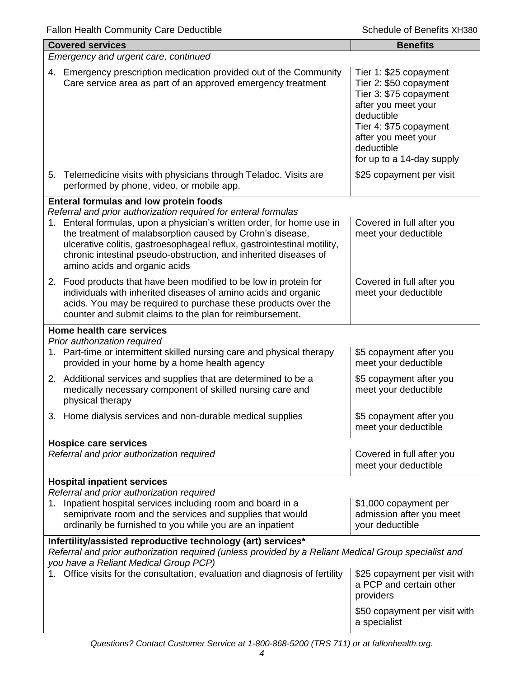| <b>Covered services</b>                                                                                                                                                                                                                                                                                                                                                               | <b>Benefits</b>                                                                                                                                                                                             |  |
|---------------------------------------------------------------------------------------------------------------------------------------------------------------------------------------------------------------------------------------------------------------------------------------------------------------------------------------------------------------------------------------|-------------------------------------------------------------------------------------------------------------------------------------------------------------------------------------------------------------|--|
| Emergency and urgent care, continued                                                                                                                                                                                                                                                                                                                                                  |                                                                                                                                                                                                             |  |
| 4. Emergency prescription medication provided out of the Community<br>Care service area as part of an approved emergency treatment                                                                                                                                                                                                                                                    | Tier 1: \$25 copayment<br>Tier 2: \$50 copayment<br>Tier 3: \$75 copayment<br>after you meet your<br>deductible<br>Tier 4: \$75 copayment<br>after you meet your<br>deductible<br>for up to a 14-day supply |  |
| 5. Telemedicine visits with physicians through Teladoc. Visits are<br>performed by phone, video, or mobile app.                                                                                                                                                                                                                                                                       | \$25 copayment per visit                                                                                                                                                                                    |  |
| Enteral formulas and low protein foods                                                                                                                                                                                                                                                                                                                                                |                                                                                                                                                                                                             |  |
| Referral and prior authorization required for enteral formulas<br>1. Enteral formulas, upon a physician's written order, for home use in<br>the treatment of malabsorption caused by Crohn's disease,<br>ulcerative colitis, gastroesophageal reflux, gastrointestinal motility,<br>chronic intestinal pseudo-obstruction, and inherited diseases of<br>amino acids and organic acids | Covered in full after you<br>meet your deductible                                                                                                                                                           |  |
| 2. Food products that have been modified to be low in protein for<br>individuals with inherited diseases of amino acids and organic<br>acids. You may be required to purchase these products over the<br>counter and submit claims to the plan for reimbursement.                                                                                                                     | Covered in full after you<br>meet your deductible                                                                                                                                                           |  |
| Home health care services                                                                                                                                                                                                                                                                                                                                                             |                                                                                                                                                                                                             |  |
| Prior authorization required<br>1. Part-time or intermittent skilled nursing care and physical therapy<br>provided in your home by a home health agency                                                                                                                                                                                                                               | \$5 copayment after you<br>meet your deductible                                                                                                                                                             |  |
| 2. Additional services and supplies that are determined to be a<br>medically necessary component of skilled nursing care and<br>physical therapy                                                                                                                                                                                                                                      | \$5 copayment after you<br>meet your deductible                                                                                                                                                             |  |
| Home dialysis services and non-durable medical supplies<br>3.                                                                                                                                                                                                                                                                                                                         | \$5 copayment after you<br>meet your deductible                                                                                                                                                             |  |
| <b>Hospice care services</b>                                                                                                                                                                                                                                                                                                                                                          |                                                                                                                                                                                                             |  |
| Referral and prior authorization required                                                                                                                                                                                                                                                                                                                                             | Covered in full after you<br>meet your deductible                                                                                                                                                           |  |
| <b>Hospital inpatient services</b>                                                                                                                                                                                                                                                                                                                                                    |                                                                                                                                                                                                             |  |
| Referral and prior authorization required<br>1. Inpatient hospital services including room and board in a<br>semiprivate room and the services and supplies that would<br>ordinarily be furnished to you while you are an inpatient                                                                                                                                                   | \$1,000 copayment per<br>admission after you meet<br>your deductible                                                                                                                                        |  |
| Infertility/assisted reproductive technology (art) services*<br>Referral and prior authorization required (unless provided by a Reliant Medical Group specialist and<br>you have a Reliant Medical Group PCP)                                                                                                                                                                         |                                                                                                                                                                                                             |  |
| Office visits for the consultation, evaluation and diagnosis of fertility                                                                                                                                                                                                                                                                                                             | \$25 copayment per visit with<br>a PCP and certain other<br>providers                                                                                                                                       |  |
|                                                                                                                                                                                                                                                                                                                                                                                       | \$50 copayment per visit with<br>a specialist                                                                                                                                                               |  |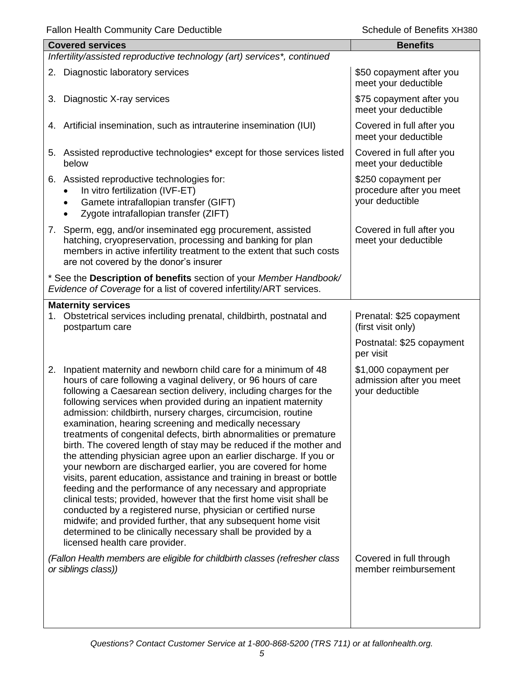|    | <b>Covered services</b>                                                                                                                                                                                                                                                                                                                                                                                                                                                                                                                                                                                                                                                                                                                                                                                                                                                                                                                                                                                                                                                                                                                     | <b>Benefits</b>                                                      |  |  |
|----|---------------------------------------------------------------------------------------------------------------------------------------------------------------------------------------------------------------------------------------------------------------------------------------------------------------------------------------------------------------------------------------------------------------------------------------------------------------------------------------------------------------------------------------------------------------------------------------------------------------------------------------------------------------------------------------------------------------------------------------------------------------------------------------------------------------------------------------------------------------------------------------------------------------------------------------------------------------------------------------------------------------------------------------------------------------------------------------------------------------------------------------------|----------------------------------------------------------------------|--|--|
|    | Infertility/assisted reproductive technology (art) services*, continued                                                                                                                                                                                                                                                                                                                                                                                                                                                                                                                                                                                                                                                                                                                                                                                                                                                                                                                                                                                                                                                                     |                                                                      |  |  |
| 2. | Diagnostic laboratory services                                                                                                                                                                                                                                                                                                                                                                                                                                                                                                                                                                                                                                                                                                                                                                                                                                                                                                                                                                                                                                                                                                              | \$50 copayment after you<br>meet your deductible                     |  |  |
| 3. | Diagnostic X-ray services                                                                                                                                                                                                                                                                                                                                                                                                                                                                                                                                                                                                                                                                                                                                                                                                                                                                                                                                                                                                                                                                                                                   | \$75 copayment after you<br>meet your deductible                     |  |  |
|    | 4. Artificial insemination, such as intrauterine insemination (IUI)                                                                                                                                                                                                                                                                                                                                                                                                                                                                                                                                                                                                                                                                                                                                                                                                                                                                                                                                                                                                                                                                         | Covered in full after you<br>meet your deductible                    |  |  |
|    | 5. Assisted reproductive technologies* except for those services listed<br>below                                                                                                                                                                                                                                                                                                                                                                                                                                                                                                                                                                                                                                                                                                                                                                                                                                                                                                                                                                                                                                                            | Covered in full after you<br>meet your deductible                    |  |  |
|    | 6. Assisted reproductive technologies for:<br>In vitro fertilization (IVF-ET)<br>Gamete intrafallopian transfer (GIFT)<br>Zygote intrafallopian transfer (ZIFT)                                                                                                                                                                                                                                                                                                                                                                                                                                                                                                                                                                                                                                                                                                                                                                                                                                                                                                                                                                             | \$250 copayment per<br>procedure after you meet<br>your deductible   |  |  |
|    | 7. Sperm, egg, and/or inseminated egg procurement, assisted<br>hatching, cryopreservation, processing and banking for plan<br>members in active infertility treatment to the extent that such costs<br>are not covered by the donor's insurer                                                                                                                                                                                                                                                                                                                                                                                                                                                                                                                                                                                                                                                                                                                                                                                                                                                                                               | Covered in full after you<br>meet your deductible                    |  |  |
|    | * See the Description of benefits section of your Member Handbook/<br>Evidence of Coverage for a list of covered infertility/ART services.                                                                                                                                                                                                                                                                                                                                                                                                                                                                                                                                                                                                                                                                                                                                                                                                                                                                                                                                                                                                  |                                                                      |  |  |
|    | <b>Maternity services</b><br>1. Obstetrical services including prenatal, childbirth, postnatal and<br>postpartum care                                                                                                                                                                                                                                                                                                                                                                                                                                                                                                                                                                                                                                                                                                                                                                                                                                                                                                                                                                                                                       | Prenatal: \$25 copayment<br>(first visit only)                       |  |  |
|    |                                                                                                                                                                                                                                                                                                                                                                                                                                                                                                                                                                                                                                                                                                                                                                                                                                                                                                                                                                                                                                                                                                                                             | Postnatal: \$25 copayment<br>per visit                               |  |  |
| 2. | Inpatient maternity and newborn child care for a minimum of 48<br>hours of care following a vaginal delivery, or 96 hours of care<br>following a Caesarean section delivery, including charges for the<br>following services when provided during an inpatient maternity<br>admission: childbirth, nursery charges, circumcision, routine<br>examination, hearing screening and medically necessary<br>treatments of congenital defects, birth abnormalities or premature<br>birth. The covered length of stay may be reduced if the mother and<br>the attending physician agree upon an earlier discharge. If you or<br>your newborn are discharged earlier, you are covered for home<br>visits, parent education, assistance and training in breast or bottle<br>feeding and the performance of any necessary and appropriate<br>clinical tests; provided, however that the first home visit shall be<br>conducted by a registered nurse, physician or certified nurse<br>midwife; and provided further, that any subsequent home visit<br>determined to be clinically necessary shall be provided by a<br>licensed health care provider. | \$1,000 copayment per<br>admission after you meet<br>your deductible |  |  |
|    | (Fallon Health members are eligible for childbirth classes (refresher class<br>or siblings class))                                                                                                                                                                                                                                                                                                                                                                                                                                                                                                                                                                                                                                                                                                                                                                                                                                                                                                                                                                                                                                          | Covered in full through<br>member reimbursement                      |  |  |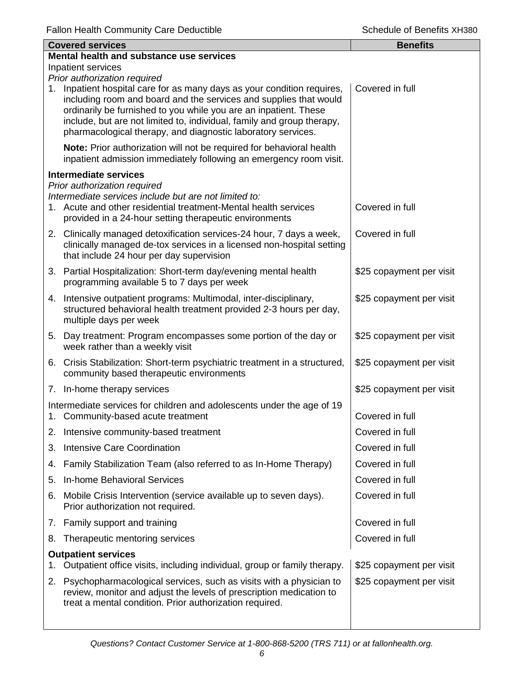|    | <b>Covered services</b>                                                                                                                                                                                                                                                                                                                                 | <b>Benefits</b>          |  |  |
|----|---------------------------------------------------------------------------------------------------------------------------------------------------------------------------------------------------------------------------------------------------------------------------------------------------------------------------------------------------------|--------------------------|--|--|
|    | Mental health and substance use services                                                                                                                                                                                                                                                                                                                |                          |  |  |
|    | Inpatient services<br>Prior authorization required                                                                                                                                                                                                                                                                                                      |                          |  |  |
| 1. | Inpatient hospital care for as many days as your condition requires,<br>including room and board and the services and supplies that would<br>ordinarily be furnished to you while you are an inpatient. These<br>include, but are not limited to, individual, family and group therapy,<br>pharmacological therapy, and diagnostic laboratory services. | Covered in full          |  |  |
|    | Note: Prior authorization will not be required for behavioral health<br>inpatient admission immediately following an emergency room visit.                                                                                                                                                                                                              |                          |  |  |
|    | <b>Intermediate services</b>                                                                                                                                                                                                                                                                                                                            |                          |  |  |
|    | Prior authorization required<br>Intermediate services include but are not limited to:<br>1. Acute and other residential treatment-Mental health services<br>provided in a 24-hour setting therapeutic environments                                                                                                                                      | Covered in full          |  |  |
|    | 2. Clinically managed detoxification services-24 hour, 7 days a week,<br>clinically managed de-tox services in a licensed non-hospital setting<br>that include 24 hour per day supervision                                                                                                                                                              | Covered in full          |  |  |
|    | 3. Partial Hospitalization: Short-term day/evening mental health<br>programming available 5 to 7 days per week                                                                                                                                                                                                                                          | \$25 copayment per visit |  |  |
|    | 4. Intensive outpatient programs: Multimodal, inter-disciplinary,<br>structured behavioral health treatment provided 2-3 hours per day,<br>multiple days per week                                                                                                                                                                                       | \$25 copayment per visit |  |  |
| 5. | Day treatment: Program encompasses some portion of the day or<br>week rather than a weekly visit                                                                                                                                                                                                                                                        | \$25 copayment per visit |  |  |
|    | 6. Crisis Stabilization: Short-term psychiatric treatment in a structured,<br>community based therapeutic environments                                                                                                                                                                                                                                  | \$25 copayment per visit |  |  |
|    | 7. In-home therapy services                                                                                                                                                                                                                                                                                                                             | \$25 copayment per visit |  |  |
|    | Intermediate services for children and adolescents under the age of 19<br>1. Community-based acute treatment                                                                                                                                                                                                                                            | Covered in full          |  |  |
| 2. | Intensive community-based treatment                                                                                                                                                                                                                                                                                                                     | Covered in full          |  |  |
| 3. | <b>Intensive Care Coordination</b>                                                                                                                                                                                                                                                                                                                      | Covered in full          |  |  |
| 4. | Family Stabilization Team (also referred to as In-Home Therapy)                                                                                                                                                                                                                                                                                         | Covered in full          |  |  |
| 5. | <b>In-home Behavioral Services</b>                                                                                                                                                                                                                                                                                                                      | Covered in full          |  |  |
| 6. | Mobile Crisis Intervention (service available up to seven days).<br>Prior authorization not required.                                                                                                                                                                                                                                                   | Covered in full          |  |  |
|    | 7. Family support and training                                                                                                                                                                                                                                                                                                                          | Covered in full          |  |  |
| 8. | Therapeutic mentoring services                                                                                                                                                                                                                                                                                                                          | Covered in full          |  |  |
| 1. | <b>Outpatient services</b><br>Outpatient office visits, including individual, group or family therapy.                                                                                                                                                                                                                                                  | \$25 copayment per visit |  |  |
| 2. | Psychopharmacological services, such as visits with a physician to<br>review, monitor and adjust the levels of prescription medication to<br>treat a mental condition. Prior authorization required.                                                                                                                                                    | \$25 copayment per visit |  |  |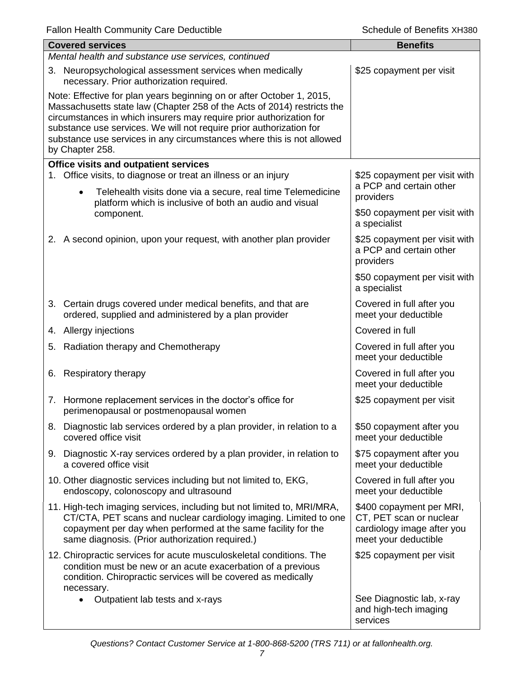| <b>Covered services</b>                                                                                                                                                                                                                                                                                                                                                                    | <b>Benefits</b>                                                                                           |
|--------------------------------------------------------------------------------------------------------------------------------------------------------------------------------------------------------------------------------------------------------------------------------------------------------------------------------------------------------------------------------------------|-----------------------------------------------------------------------------------------------------------|
| Mental health and substance use services, continued                                                                                                                                                                                                                                                                                                                                        |                                                                                                           |
| 3. Neuropsychological assessment services when medically<br>necessary. Prior authorization required.                                                                                                                                                                                                                                                                                       | \$25 copayment per visit                                                                                  |
| Note: Effective for plan years beginning on or after October 1, 2015,<br>Massachusetts state law (Chapter 258 of the Acts of 2014) restricts the<br>circumstances in which insurers may require prior authorization for<br>substance use services. We will not require prior authorization for<br>substance use services in any circumstances where this is not allowed<br>by Chapter 258. |                                                                                                           |
| <b>Office visits and outpatient services</b>                                                                                                                                                                                                                                                                                                                                               |                                                                                                           |
| 1. Office visits, to diagnose or treat an illness or an injury<br>Telehealth visits done via a secure, real time Telemedicine<br>$\bullet$                                                                                                                                                                                                                                                 | \$25 copayment per visit with<br>a PCP and certain other<br>providers                                     |
| platform which is inclusive of both an audio and visual<br>component.                                                                                                                                                                                                                                                                                                                      | \$50 copayment per visit with<br>a specialist                                                             |
| 2. A second opinion, upon your request, with another plan provider                                                                                                                                                                                                                                                                                                                         | \$25 copayment per visit with<br>a PCP and certain other<br>providers                                     |
|                                                                                                                                                                                                                                                                                                                                                                                            | \$50 copayment per visit with<br>a specialist                                                             |
| 3. Certain drugs covered under medical benefits, and that are<br>ordered, supplied and administered by a plan provider                                                                                                                                                                                                                                                                     | Covered in full after you<br>meet your deductible                                                         |
| 4. Allergy injections                                                                                                                                                                                                                                                                                                                                                                      | Covered in full                                                                                           |
| 5. Radiation therapy and Chemotherapy                                                                                                                                                                                                                                                                                                                                                      | Covered in full after you<br>meet your deductible                                                         |
| 6. Respiratory therapy                                                                                                                                                                                                                                                                                                                                                                     | Covered in full after you<br>meet your deductible                                                         |
| 7. Hormone replacement services in the doctor's office for<br>perimenopausal or postmenopausal women                                                                                                                                                                                                                                                                                       | \$25 copayment per visit                                                                                  |
| 8. Diagnostic lab services ordered by a plan provider, in relation to a<br>covered office visit                                                                                                                                                                                                                                                                                            | \$50 copayment after you<br>meet your deductible                                                          |
| 9. Diagnostic X-ray services ordered by a plan provider, in relation to<br>a covered office visit                                                                                                                                                                                                                                                                                          | \$75 copayment after you<br>meet your deductible                                                          |
| 10. Other diagnostic services including but not limited to, EKG,<br>endoscopy, colonoscopy and ultrasound                                                                                                                                                                                                                                                                                  | Covered in full after you<br>meet your deductible                                                         |
| 11. High-tech imaging services, including but not limited to, MRI/MRA,<br>CT/CTA, PET scans and nuclear cardiology imaging. Limited to one<br>copayment per day when performed at the same facility for the<br>same diagnosis. (Prior authorization required.)                                                                                                                             | \$400 copayment per MRI,<br>CT, PET scan or nuclear<br>cardiology image after you<br>meet your deductible |
| 12. Chiropractic services for acute musculoskeletal conditions. The<br>condition must be new or an acute exacerbation of a previous<br>condition. Chiropractic services will be covered as medically<br>necessary.                                                                                                                                                                         | \$25 copayment per visit                                                                                  |
| Outpatient lab tests and x-rays                                                                                                                                                                                                                                                                                                                                                            | See Diagnostic lab, x-ray<br>and high-tech imaging<br>services                                            |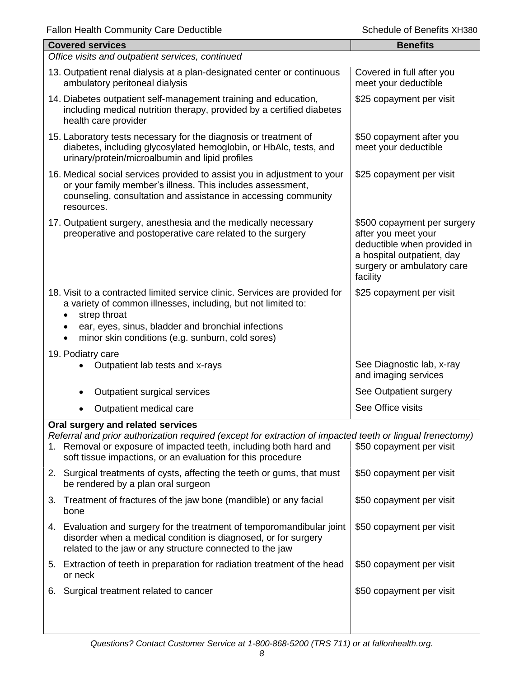| <b>Covered services</b>                                                                                                                                                                                                                          | <b>Benefits</b>                                                                                                                                           |
|--------------------------------------------------------------------------------------------------------------------------------------------------------------------------------------------------------------------------------------------------|-----------------------------------------------------------------------------------------------------------------------------------------------------------|
| Office visits and outpatient services, continued                                                                                                                                                                                                 |                                                                                                                                                           |
| 13. Outpatient renal dialysis at a plan-designated center or continuous<br>ambulatory peritoneal dialysis                                                                                                                                        | Covered in full after you<br>meet your deductible                                                                                                         |
| 14. Diabetes outpatient self-management training and education,<br>including medical nutrition therapy, provided by a certified diabetes<br>health care provider                                                                                 | \$25 copayment per visit                                                                                                                                  |
| 15. Laboratory tests necessary for the diagnosis or treatment of<br>diabetes, including glycosylated hemoglobin, or HbAlc, tests, and<br>urinary/protein/microalbumin and lipid profiles                                                         | \$50 copayment after you<br>meet your deductible                                                                                                          |
| 16. Medical social services provided to assist you in adjustment to your<br>or your family member's illness. This includes assessment,<br>counseling, consultation and assistance in accessing community<br>resources.                           | \$25 copayment per visit                                                                                                                                  |
| 17. Outpatient surgery, anesthesia and the medically necessary<br>preoperative and postoperative care related to the surgery                                                                                                                     | \$500 copayment per surgery<br>after you meet your<br>deductible when provided in<br>a hospital outpatient, day<br>surgery or ambulatory care<br>facility |
| 18. Visit to a contracted limited service clinic. Services are provided for<br>a variety of common illnesses, including, but not limited to:<br>strep throat<br>ear, eyes, sinus, bladder and bronchial infections                               | \$25 copayment per visit                                                                                                                                  |
| minor skin conditions (e.g. sunburn, cold sores)                                                                                                                                                                                                 |                                                                                                                                                           |
| 19. Podiatry care<br>Outpatient lab tests and x-rays                                                                                                                                                                                             | See Diagnostic lab, x-ray<br>and imaging services                                                                                                         |
| Outpatient surgical services                                                                                                                                                                                                                     | See Outpatient surgery                                                                                                                                    |
| Outpatient medical care                                                                                                                                                                                                                          | See Office visits                                                                                                                                         |
| Oral surgery and related services                                                                                                                                                                                                                |                                                                                                                                                           |
| Referral and prior authorization required (except for extraction of impacted teeth or lingual frenectomy)<br>Removal or exposure of impacted teeth, including both hard and<br>1.<br>soft tissue impactions, or an evaluation for this procedure | \$50 copayment per visit                                                                                                                                  |
| 2. Surgical treatments of cysts, affecting the teeth or gums, that must<br>be rendered by a plan oral surgeon                                                                                                                                    | \$50 copayment per visit                                                                                                                                  |
| 3. Treatment of fractures of the jaw bone (mandible) or any facial<br>bone                                                                                                                                                                       | \$50 copayment per visit                                                                                                                                  |
| 4. Evaluation and surgery for the treatment of temporomandibular joint<br>disorder when a medical condition is diagnosed, or for surgery<br>related to the jaw or any structure connected to the jaw                                             | \$50 copayment per visit                                                                                                                                  |
| 5. Extraction of teeth in preparation for radiation treatment of the head<br>or neck                                                                                                                                                             | \$50 copayment per visit                                                                                                                                  |
| 6. Surgical treatment related to cancer                                                                                                                                                                                                          | \$50 copayment per visit                                                                                                                                  |
|                                                                                                                                                                                                                                                  |                                                                                                                                                           |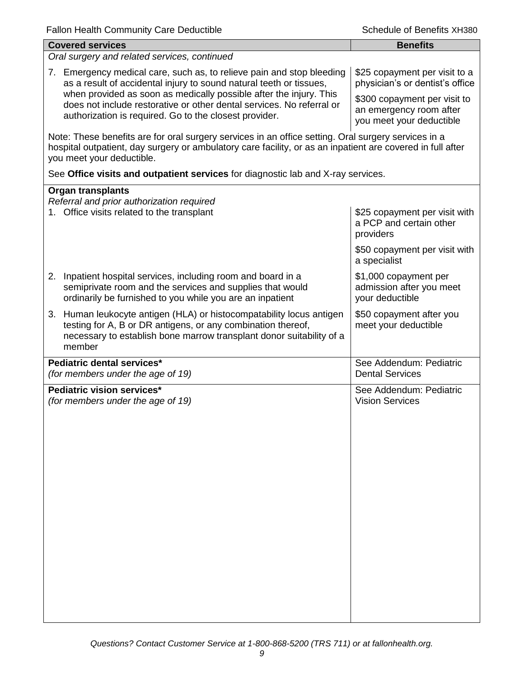| <b>Covered services</b>                                                                                                                                                                                                                        | <b>Benefits</b>                                                                     |  |  |
|------------------------------------------------------------------------------------------------------------------------------------------------------------------------------------------------------------------------------------------------|-------------------------------------------------------------------------------------|--|--|
| Oral surgery and related services, continued                                                                                                                                                                                                   |                                                                                     |  |  |
| 7. Emergency medical care, such as, to relieve pain and stop bleeding<br>as a result of accidental injury to sound natural teeth or tissues,<br>when provided as soon as medically possible after the injury. This                             | \$25 copayment per visit to a<br>physician's or dentist's office                    |  |  |
| does not include restorative or other dental services. No referral or<br>authorization is required. Go to the closest provider.                                                                                                                | \$300 copayment per visit to<br>an emergency room after<br>you meet your deductible |  |  |
| Note: These benefits are for oral surgery services in an office setting. Oral surgery services in a<br>hospital outpatient, day surgery or ambulatory care facility, or as an inpatient are covered in full after<br>you meet your deductible. |                                                                                     |  |  |
| See Office visits and outpatient services for diagnostic lab and X-ray services.                                                                                                                                                               |                                                                                     |  |  |
| <b>Organ transplants</b>                                                                                                                                                                                                                       |                                                                                     |  |  |
| Referral and prior authorization required<br>1. Office visits related to the transplant                                                                                                                                                        | \$25 copayment per visit with<br>a PCP and certain other<br>providers               |  |  |
|                                                                                                                                                                                                                                                | \$50 copayment per visit with<br>a specialist                                       |  |  |
| 2. Inpatient hospital services, including room and board in a<br>semiprivate room and the services and supplies that would<br>ordinarily be furnished to you while you are an inpatient                                                        | \$1,000 copayment per<br>admission after you meet<br>your deductible                |  |  |
| 3. Human leukocyte antigen (HLA) or histocompatability locus antigen<br>testing for A, B or DR antigens, or any combination thereof,<br>necessary to establish bone marrow transplant donor suitability of a<br>member                         | \$50 copayment after you<br>meet your deductible                                    |  |  |
| Pediatric dental services*<br>(for members under the age of 19)                                                                                                                                                                                | See Addendum: Pediatric<br><b>Dental Services</b>                                   |  |  |
| Pediatric vision services*<br>(for members under the age of 19)                                                                                                                                                                                | See Addendum: Pediatric<br><b>Vision Services</b>                                   |  |  |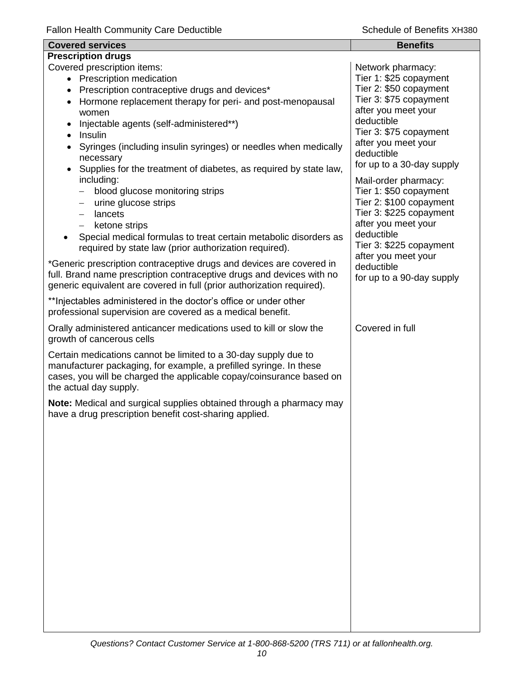| <b>Covered services</b>                                                                                                                                                                                                                 | <b>Benefits</b>                                                           |
|-----------------------------------------------------------------------------------------------------------------------------------------------------------------------------------------------------------------------------------------|---------------------------------------------------------------------------|
| <b>Prescription drugs</b>                                                                                                                                                                                                               |                                                                           |
| Covered prescription items:<br>• Prescription medication<br>• Prescription contraceptive drugs and devices*                                                                                                                             | Network pharmacy:<br>Tier 1: \$25 copayment<br>Tier 2: \$50 copayment     |
| Hormone replacement therapy for peri- and post-menopausal<br>women                                                                                                                                                                      | Tier 3: \$75 copayment<br>after you meet your                             |
| Injectable agents (self-administered**)<br>• Insulin                                                                                                                                                                                    | deductible<br>Tier 3: \$75 copayment<br>after you meet your               |
| Syringes (including insulin syringes) or needles when medically<br>necessary<br>Supplies for the treatment of diabetes, as required by state law,                                                                                       | deductible<br>for up to a 30-day supply                                   |
| including:<br>blood glucose monitoring strips<br>$\qquad \qquad -$                                                                                                                                                                      | Mail-order pharmacy:<br>Tier 1: \$50 copayment                            |
| urine glucose strips<br>$\qquad \qquad -$<br>lancets<br>$\qquad \qquad -$                                                                                                                                                               | Tier 2: \$100 copayment<br>Tier 3: \$225 copayment<br>after you meet your |
| ketone strips<br>$-$<br>Special medical formulas to treat certain metabolic disorders as<br>required by state law (prior authorization required).                                                                                       | deductible<br>Tier 3: \$225 copayment<br>after you meet your              |
| *Generic prescription contraceptive drugs and devices are covered in<br>full. Brand name prescription contraceptive drugs and devices with no<br>generic equivalent are covered in full (prior authorization required).                 | deductible<br>for up to a 90-day supply                                   |
| ** Injectables administered in the doctor's office or under other<br>professional supervision are covered as a medical benefit.                                                                                                         |                                                                           |
| Orally administered anticancer medications used to kill or slow the<br>growth of cancerous cells                                                                                                                                        | Covered in full                                                           |
| Certain medications cannot be limited to a 30-day supply due to<br>manufacturer packaging, for example, a prefilled syringe. In these<br>cases, you will be charged the applicable copay/coinsurance based on<br>the actual day supply. |                                                                           |
| Note: Medical and surgical supplies obtained through a pharmacy may<br>have a drug prescription benefit cost-sharing applied.                                                                                                           |                                                                           |
|                                                                                                                                                                                                                                         |                                                                           |
|                                                                                                                                                                                                                                         |                                                                           |
|                                                                                                                                                                                                                                         |                                                                           |
|                                                                                                                                                                                                                                         |                                                                           |
|                                                                                                                                                                                                                                         |                                                                           |
|                                                                                                                                                                                                                                         |                                                                           |
|                                                                                                                                                                                                                                         |                                                                           |
|                                                                                                                                                                                                                                         |                                                                           |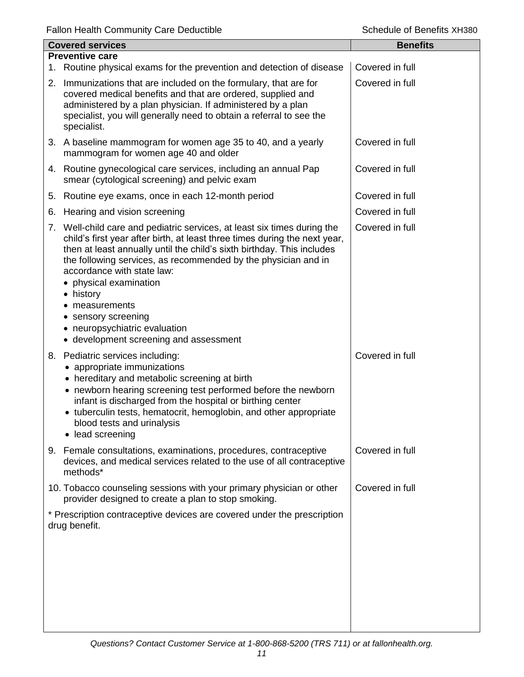|    | <b>Covered services</b>                                                                                                                                                                                                                                                                                                                                                                                                                                                                   | <b>Benefits</b> |
|----|-------------------------------------------------------------------------------------------------------------------------------------------------------------------------------------------------------------------------------------------------------------------------------------------------------------------------------------------------------------------------------------------------------------------------------------------------------------------------------------------|-----------------|
|    | <b>Preventive care</b><br>1. Routine physical exams for the prevention and detection of disease                                                                                                                                                                                                                                                                                                                                                                                           | Covered in full |
|    | 2. Immunizations that are included on the formulary, that are for<br>covered medical benefits and that are ordered, supplied and<br>administered by a plan physician. If administered by a plan<br>specialist, you will generally need to obtain a referral to see the<br>specialist.                                                                                                                                                                                                     | Covered in full |
|    | 3. A baseline mammogram for women age 35 to 40, and a yearly<br>mammogram for women age 40 and older                                                                                                                                                                                                                                                                                                                                                                                      | Covered in full |
|    | 4. Routine gynecological care services, including an annual Pap<br>smear (cytological screening) and pelvic exam                                                                                                                                                                                                                                                                                                                                                                          | Covered in full |
|    | 5. Routine eye exams, once in each 12-month period                                                                                                                                                                                                                                                                                                                                                                                                                                        | Covered in full |
| 6. | Hearing and vision screening                                                                                                                                                                                                                                                                                                                                                                                                                                                              | Covered in full |
|    | 7. Well-child care and pediatric services, at least six times during the<br>child's first year after birth, at least three times during the next year,<br>then at least annually until the child's sixth birthday. This includes<br>the following services, as recommended by the physician and in<br>accordance with state law:<br>• physical examination<br>• history<br>measurements<br>• sensory screening<br>• neuropsychiatric evaluation<br>• development screening and assessment | Covered in full |
|    | 8. Pediatric services including:<br>appropriate immunizations<br>• hereditary and metabolic screening at birth<br>• newborn hearing screening test performed before the newborn<br>infant is discharged from the hospital or birthing center<br>• tuberculin tests, hematocrit, hemoglobin, and other appropriate<br>blood tests and urinalysis<br>lead screening                                                                                                                         | Covered in full |
|    | 9. Female consultations, examinations, procedures, contraceptive<br>devices, and medical services related to the use of all contraceptive<br>methods*                                                                                                                                                                                                                                                                                                                                     | Covered in full |
|    | 10. Tobacco counseling sessions with your primary physician or other<br>provider designed to create a plan to stop smoking.                                                                                                                                                                                                                                                                                                                                                               | Covered in full |
|    | * Prescription contraceptive devices are covered under the prescription<br>drug benefit.                                                                                                                                                                                                                                                                                                                                                                                                  |                 |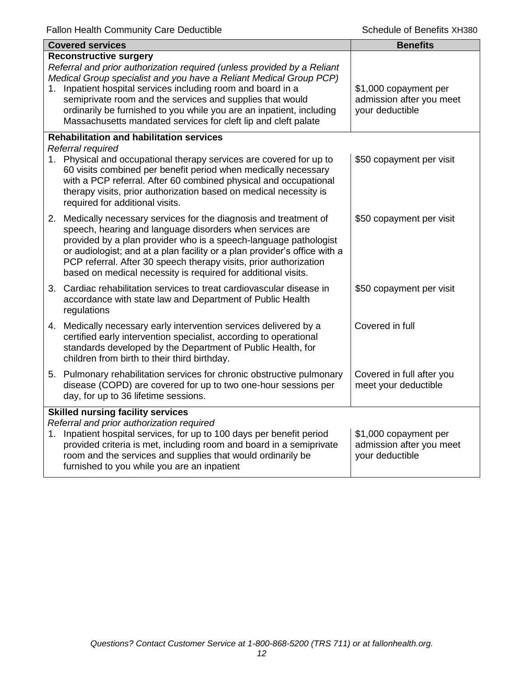| <b>Covered services</b> |                                                                                                                                                                                                                                                                                                                                                                                                                                                    | <b>Benefits</b>                                                      |  |  |
|-------------------------|----------------------------------------------------------------------------------------------------------------------------------------------------------------------------------------------------------------------------------------------------------------------------------------------------------------------------------------------------------------------------------------------------------------------------------------------------|----------------------------------------------------------------------|--|--|
| 1.                      | <b>Reconstructive surgery</b><br>Referral and prior authorization required (unless provided by a Reliant<br>Medical Group specialist and you have a Reliant Medical Group PCP)<br>Inpatient hospital services including room and board in a<br>semiprivate room and the services and supplies that would<br>ordinarily be furnished to you while you are an inpatient, including<br>Massachusetts mandated services for cleft lip and cleft palate | \$1,000 copayment per<br>admission after you meet<br>your deductible |  |  |
|                         | <b>Rehabilitation and habilitation services</b>                                                                                                                                                                                                                                                                                                                                                                                                    |                                                                      |  |  |
|                         | Referral required<br>1. Physical and occupational therapy services are covered for up to<br>60 visits combined per benefit period when medically necessary<br>with a PCP referral. After 60 combined physical and occupational<br>therapy visits, prior authorization based on medical necessity is<br>required for additional visits.                                                                                                             | \$50 copayment per visit                                             |  |  |
|                         | 2. Medically necessary services for the diagnosis and treatment of<br>speech, hearing and language disorders when services are<br>provided by a plan provider who is a speech-language pathologist<br>or audiologist; and at a plan facility or a plan provider's office with a<br>PCP referral. After 30 speech therapy visits, prior authorization<br>based on medical necessity is required for additional visits.                              | \$50 copayment per visit                                             |  |  |
|                         | 3. Cardiac rehabilitation services to treat cardiovascular disease in<br>accordance with state law and Department of Public Health<br>regulations                                                                                                                                                                                                                                                                                                  | \$50 copayment per visit                                             |  |  |
|                         | 4. Medically necessary early intervention services delivered by a<br>certified early intervention specialist, according to operational<br>standards developed by the Department of Public Health, for<br>children from birth to their third birthday.                                                                                                                                                                                              | Covered in full                                                      |  |  |
|                         | 5. Pulmonary rehabilitation services for chronic obstructive pulmonary<br>disease (COPD) are covered for up to two one-hour sessions per<br>day, for up to 36 lifetime sessions.                                                                                                                                                                                                                                                                   | Covered in full after you<br>meet your deductible                    |  |  |
|                         | <b>Skilled nursing facility services</b><br>Referral and prior authorization required<br>1. Inpatient hospital services, for up to 100 days per benefit period<br>provided criteria is met, including room and board in a semiprivate<br>room and the services and supplies that would ordinarily be<br>furnished to you while you are an inpatient                                                                                                | \$1,000 copayment per<br>admission after you meet<br>your deductible |  |  |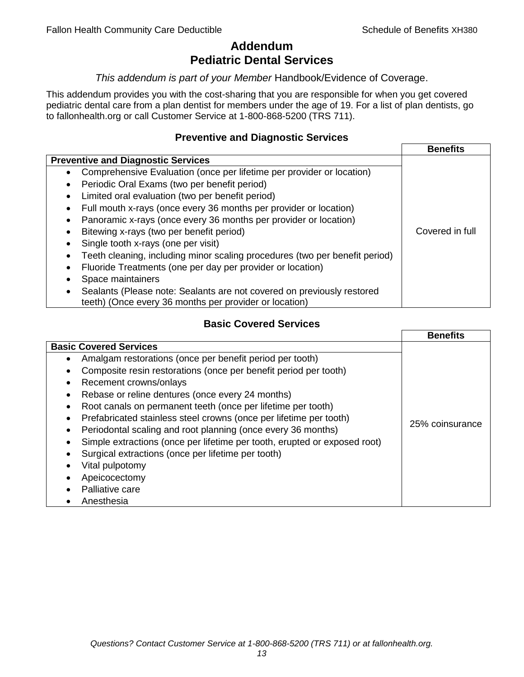## **Addendum Pediatric Dental Services**

#### *This addendum is part of your Member* Handbook/Evidence of Coverage.

This addendum provides you with the cost-sharing that you are responsible for when you get covered pediatric dental care from a plan dentist for members under the age of 19. For a list of plan dentists, go to fallonhealth.org or call Customer Service at 1-800-868-5200 (TRS 711).

#### **Preventive and Diagnostic Services**

|                                                                                    | <b>Benefits</b> |
|------------------------------------------------------------------------------------|-----------------|
| <b>Preventive and Diagnostic Services</b>                                          |                 |
| Comprehensive Evaluation (once per lifetime per provider or location)<br>$\bullet$ |                 |
| Periodic Oral Exams (two per benefit period)<br>$\bullet$                          |                 |
| Limited oral evaluation (two per benefit period)<br>$\bullet$                      |                 |
| Full mouth x-rays (once every 36 months per provider or location)                  |                 |
| Panoramic x-rays (once every 36 months per provider or location)                   |                 |
| Bitewing x-rays (two per benefit period)<br>٠                                      | Covered in full |
| Single tooth x-rays (one per visit)                                                |                 |
| Teeth cleaning, including minor scaling procedures (two per benefit period)        |                 |
| Fluoride Treatments (one per day per provider or location)                         |                 |
| Space maintainers                                                                  |                 |
| Sealants (Please note: Sealants are not covered on previously restored             |                 |
| teeth) (Once every 36 months per provider or location)                             |                 |

### **Basic Covered Services**

| <b>Basic Covered Services</b><br>Amalgam restorations (once per benefit period per tooth)<br>Composite resin restorations (once per benefit period per tooth)<br>Recement crowns/onlays<br>Rebase or reline dentures (once every 24 months)<br>Root canals on permanent teeth (once per lifetime per tooth)<br>Prefabricated stainless steel crowns (once per lifetime per tooth)<br>25% coinsurance<br>Periodontal scaling and root planning (once every 36 months)<br>Simple extractions (once per lifetime per tooth, erupted or exposed root)<br>Surgical extractions (once per lifetime per tooth)<br>Vital pulpotomy<br>Apeicocectomy<br>Palliative care | <b>Benefits</b> |
|----------------------------------------------------------------------------------------------------------------------------------------------------------------------------------------------------------------------------------------------------------------------------------------------------------------------------------------------------------------------------------------------------------------------------------------------------------------------------------------------------------------------------------------------------------------------------------------------------------------------------------------------------------------|-----------------|
|                                                                                                                                                                                                                                                                                                                                                                                                                                                                                                                                                                                                                                                                |                 |
| Anesthesia                                                                                                                                                                                                                                                                                                                                                                                                                                                                                                                                                                                                                                                     |                 |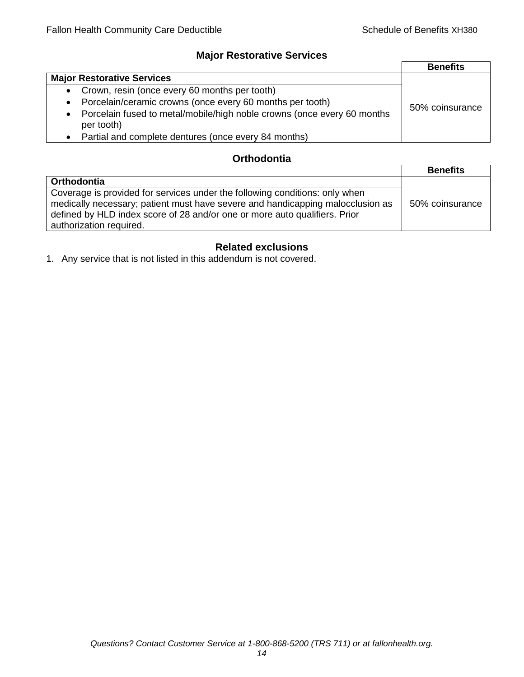## **Major Restorative Services**

|                                                                                                    | <b>Benefits</b> |
|----------------------------------------------------------------------------------------------------|-----------------|
| <b>Major Restorative Services</b>                                                                  |                 |
| • Crown, resin (once every 60 months per tooth)                                                    |                 |
| Porcelain/ceramic crowns (once every 60 months per tooth)<br>$\bullet$                             | 50% coinsurance |
| Porcelain fused to metal/mobile/high noble crowns (once every 60 months<br>$\bullet$<br>per tooth) |                 |
| • Partial and complete dentures (once every 84 months)                                             |                 |

## **Orthodontia**

|                                                                                                                                                                                                                                                                        | <b>Benefits</b> |
|------------------------------------------------------------------------------------------------------------------------------------------------------------------------------------------------------------------------------------------------------------------------|-----------------|
| <b>Orthodontia</b>                                                                                                                                                                                                                                                     |                 |
| Coverage is provided for services under the following conditions: only when<br>medically necessary; patient must have severe and handicapping malocclusion as<br>defined by HLD index score of 28 and/or one or more auto qualifiers. Prior<br>authorization required. | 50% coinsurance |

## **Related exclusions**

1. Any service that is not listed in this addendum is not covered.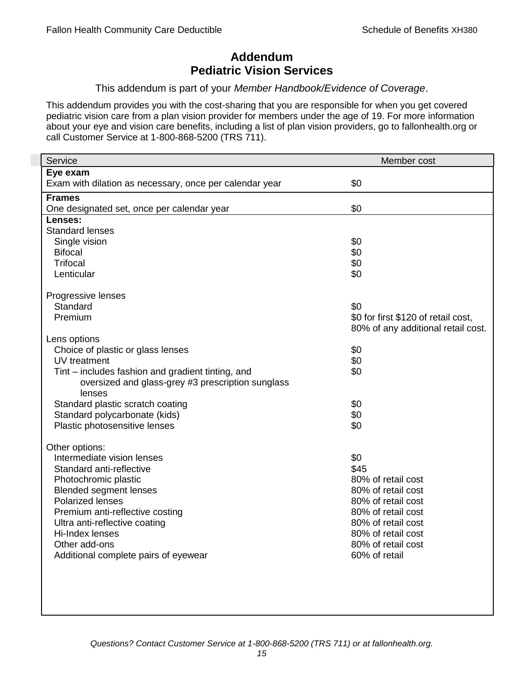# **Addendum Pediatric Vision Services**

#### This addendum is part of your *Member Handbook/Evidence of Coverage*.

This addendum provides you with the cost-sharing that you are responsible for when you get covered pediatric vision care from a plan vision provider for members under the age of 19. For more information about your eye and vision care benefits, including a list of plan vision providers, go to fallonhealth.org or call Customer Service at 1-800-868-5200 (TRS 711).

| Service                                                 | Member cost                         |
|---------------------------------------------------------|-------------------------------------|
| Eye exam                                                |                                     |
| Exam with dilation as necessary, once per calendar year | \$0                                 |
| <b>Frames</b>                                           |                                     |
| One designated set, once per calendar year              | \$0                                 |
| Lenses:                                                 |                                     |
| <b>Standard lenses</b>                                  |                                     |
| Single vision                                           | \$0                                 |
| <b>Bifocal</b>                                          | \$0                                 |
| <b>Trifocal</b>                                         | \$0                                 |
| Lenticular                                              | \$0                                 |
| Progressive lenses                                      |                                     |
| Standard                                                | \$0                                 |
| Premium                                                 | \$0 for first \$120 of retail cost, |
|                                                         | 80% of any additional retail cost.  |
| Lens options                                            |                                     |
| Choice of plastic or glass lenses                       | \$0                                 |
| UV treatment                                            | \$0                                 |
| Tint – includes fashion and gradient tinting, and       | \$0                                 |
| oversized and glass-grey #3 prescription sunglass       |                                     |
| lenses                                                  |                                     |
| Standard plastic scratch coating                        | \$0                                 |
| Standard polycarbonate (kids)                           | \$0                                 |
| Plastic photosensitive lenses                           | \$0                                 |
| Other options:                                          |                                     |
| Intermediate vision lenses                              | \$0                                 |
| Standard anti-reflective                                | \$45                                |
| Photochromic plastic                                    | 80% of retail cost                  |
| <b>Blended segment lenses</b>                           | 80% of retail cost                  |
| <b>Polarized lenses</b>                                 | 80% of retail cost                  |
| Premium anti-reflective costing                         | 80% of retail cost                  |
| Ultra anti-reflective coating                           | 80% of retail cost                  |
| Hi-Index lenses                                         | 80% of retail cost                  |
| Other add-ons                                           | 80% of retail cost                  |
| Additional complete pairs of eyewear                    | 60% of retail                       |
|                                                         |                                     |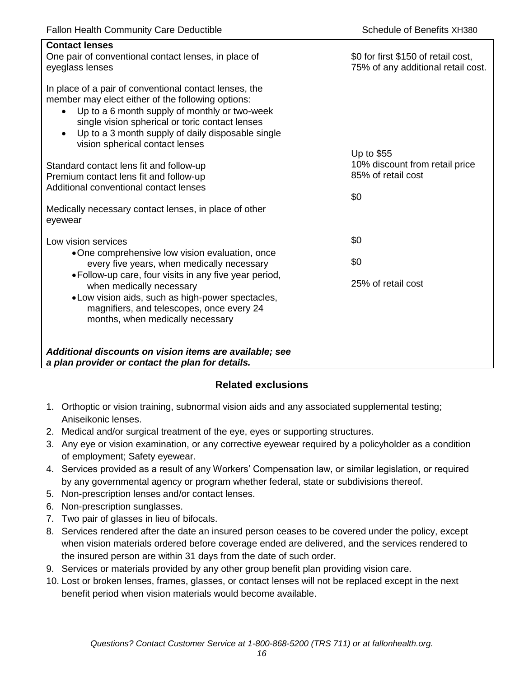| <b>Contact lenses</b><br>One pair of conventional contact lenses, in place of<br>eyeglass lenses                                                                                                                                                                                                                                  | \$0 for first \$150 of retail cost,<br>75% of any additional retail cost. |
|-----------------------------------------------------------------------------------------------------------------------------------------------------------------------------------------------------------------------------------------------------------------------------------------------------------------------------------|---------------------------------------------------------------------------|
| In place of a pair of conventional contact lenses, the<br>member may elect either of the following options:<br>Up to a 6 month supply of monthly or two-week<br>$\bullet$<br>single vision spherical or toric contact lenses<br>Up to a 3 month supply of daily disposable single<br>$\bullet$<br>vision spherical contact lenses |                                                                           |
| Standard contact lens fit and follow-up<br>Premium contact lens fit and follow-up<br>Additional conventional contact lenses                                                                                                                                                                                                       | Up to \$55<br>10% discount from retail price<br>85% of retail cost<br>\$0 |
| Medically necessary contact lenses, in place of other<br>eyewear                                                                                                                                                                                                                                                                  |                                                                           |
| Low vision services                                                                                                                                                                                                                                                                                                               | \$0                                                                       |
| •One comprehensive low vision evaluation, once<br>every five years, when medically necessary                                                                                                                                                                                                                                      | \$0                                                                       |
| • Follow-up care, four visits in any five year period,<br>when medically necessary<br>• Low vision aids, such as high-power spectacles,<br>magnifiers, and telescopes, once every 24<br>months, when medically necessary                                                                                                          | 25% of retail cost                                                        |
| Additional discounts on vision items are available; see<br>a plan provider or contact the plan for details.                                                                                                                                                                                                                       |                                                                           |

## **Related exclusions**

- 1. Orthoptic or vision training, subnormal vision aids and any associated supplemental testing; Aniseikonic lenses.
- 2. Medical and/or surgical treatment of the eye, eyes or supporting structures.
- 3. Any eye or vision examination, or any corrective eyewear required by a policyholder as a condition of employment; Safety eyewear.
- 4. Services provided as a result of any Workers' Compensation law, or similar legislation, or required by any governmental agency or program whether federal, state or subdivisions thereof.
- 5. Non-prescription lenses and/or contact lenses.
- 6. Non-prescription sunglasses.
- 7. Two pair of glasses in lieu of bifocals.
- 8. Services rendered after the date an insured person ceases to be covered under the policy, except when vision materials ordered before coverage ended are delivered, and the services rendered to the insured person are within 31 days from the date of such order.
- 9. Services or materials provided by any other group benefit plan providing vision care.
- 10. Lost or broken lenses, frames, glasses, or contact lenses will not be replaced except in the next benefit period when vision materials would become available.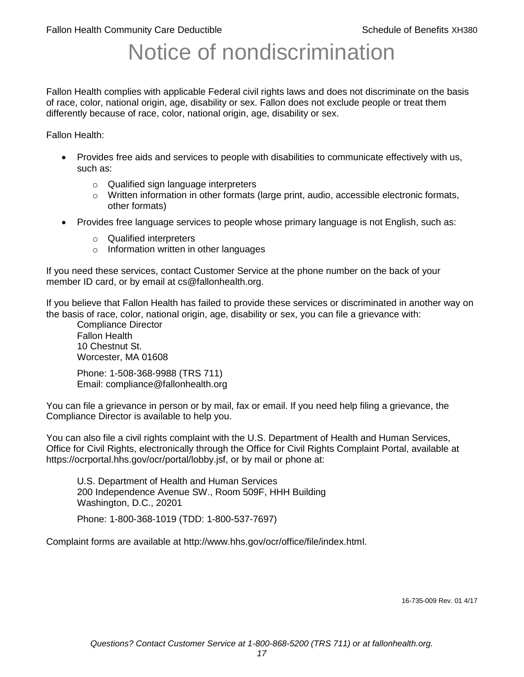# Notice of nondiscrimination

Fallon Health complies with applicable Federal civil rights laws and does not discriminate on the basis of race, color, national origin, age, disability or sex. Fallon does not exclude people or treat them differently because of race, color, national origin, age, disability or sex.

Fallon Health:

- Provides free aids and services to people with disabilities to communicate effectively with us, such as:
	- o Qualified sign language interpreters
	- $\circ$  Written information in other formats (large print, audio, accessible electronic formats, other formats)
- Provides free language services to people whose primary language is not English, such as:
	- o Qualified interpreters
	- o Information written in other languages

If you need these services, contact Customer Service at the phone number on the back of your member ID card, or by email at cs@fallonhealth.org.

If you believe that Fallon Health has failed to provide these services or discriminated in another way on the basis of race, color, national origin, age, disability or sex, you can file a grievance with:

Compliance Director Fallon Health 10 Chestnut St. Worcester, MA 01608

Phone: 1-508-368-9988 (TRS 711) Email: compliance@fallonhealth.org

You can file a grievance in person or by mail, fax or email. If you need help filing a grievance, the Compliance Director is available to help you.

You can also file a civil rights complaint with the U.S. Department of Health and Human Services, Office for Civil Rights, electronically through the Office for Civil Rights Complaint Portal, available at https://ocrportal.hhs.gov/ocr/portal/lobby.jsf, or by mail or phone at:

U.S. Department of Health and Human Services 200 Independence Avenue SW., Room 509F, HHH Building Washington, D.C., 20201

Phone: 1-800-368-1019 (TDD: 1-800-537-7697)

Complaint forms are available at http://www.hhs.gov/ocr/office/file/index.html.

16-735-009 Rev. 01 4/17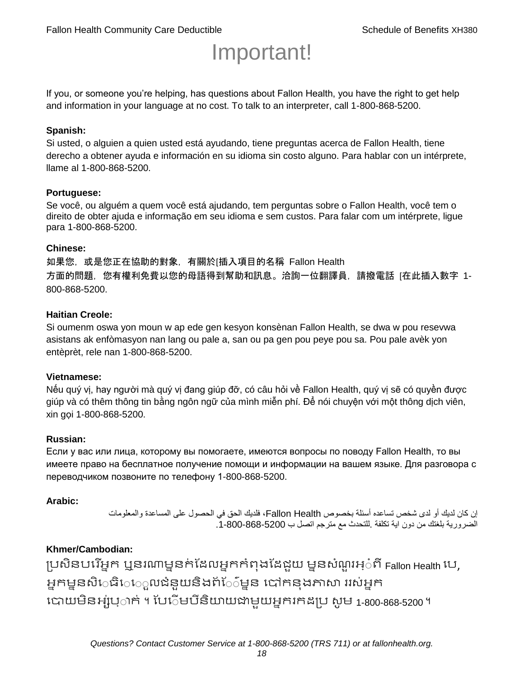# Important!

If you, or someone you're helping, has questions about Fallon Health, you have the right to get help and information in your language at no cost. To talk to an interpreter, call 1-800-868-5200.

#### **Spanish:**

Si usted, o alguien a quien usted está ayudando, tiene preguntas acerca de Fallon Health, tiene derecho a obtener ayuda e información en su idioma sin costo alguno. Para hablar con un intérprete, llame al 1-800-868-5200.

#### **Portuguese:**

Se você, ou alguém a quem você está ajudando, tem perguntas sobre o Fallon Health, você tem o direito de obter ajuda e informação em seu idioma e sem custos. Para falar com um intérprete, ligue para 1-800-868-5200.

#### **Chinese:**

如果您,或是您正在協助的對象,有關於[插入項目的名稱 Fallon Health 方面的問題, 您有權利免費以您的母語得到幫助和訊息。洽詢一位翻譯員, 請撥電話 [在此插入數字 1-800-868-5200.

#### **Haitian Creole:**

Si oumenm oswa yon moun w ap ede gen kesyon konsènan Fallon Health, se dwa w pou resevwa asistans ak enfòmasyon nan lang ou pale a, san ou pa gen pou peye pou sa. Pou pale avèk yon entèprèt, rele nan 1-800-868-5200.

#### **Vietnamese:**

Nếu quý vị, hay người mà quý vị đang giúp đỡ, có câu hỏi về Fallon Health, quý vị sẽ có quyền được giúp và có thêm thông tin bằng ngôn ngữ của mình miễn phí. Để nói chuyện với một thông dịch viên, xin gọi 1-800-868-5200.

#### **Russian:**

Если у вас или лица, которому вы помогаете, имеются вопросы по поводу Fallon Health, то вы имеете право на бесплатное получение помощи и информации на вашем языке. Для разговора с переводчиком позвоните по телефону 1-800-868-5200.

#### **Arabic:**

إن كان لديك أو لدى شخص تساعده أسئلة بخصوص Health Fallon، فلديك الحق في الحصول على المساعدة والمعلومات الضرورية بلغتك من دون اية تكلفة .للتحدث مع مترجم اتصل ب .1-800-868-5200

#### **Khmer/Cambodian:**

ប្រសិនបរើអ្នក ឬនរណាម្ននក់ដែលអ្នកកំពុងដែជយ ម្ននសំណួរអ្៎ពី Fallon Health រប, អ្នកម្ននសិេធិេេ្លលជំនួយនិងព័ែ៌ម្នន បៅកនុងភាសា ររស់អ្នក រោយម្ិនអ្ស់រ្ំ ក់ ។ ដររំម្ រនី ិយាយជាម្ួយអ្នក កែប្រ សូ ម្ 1-800-868-5200 ។